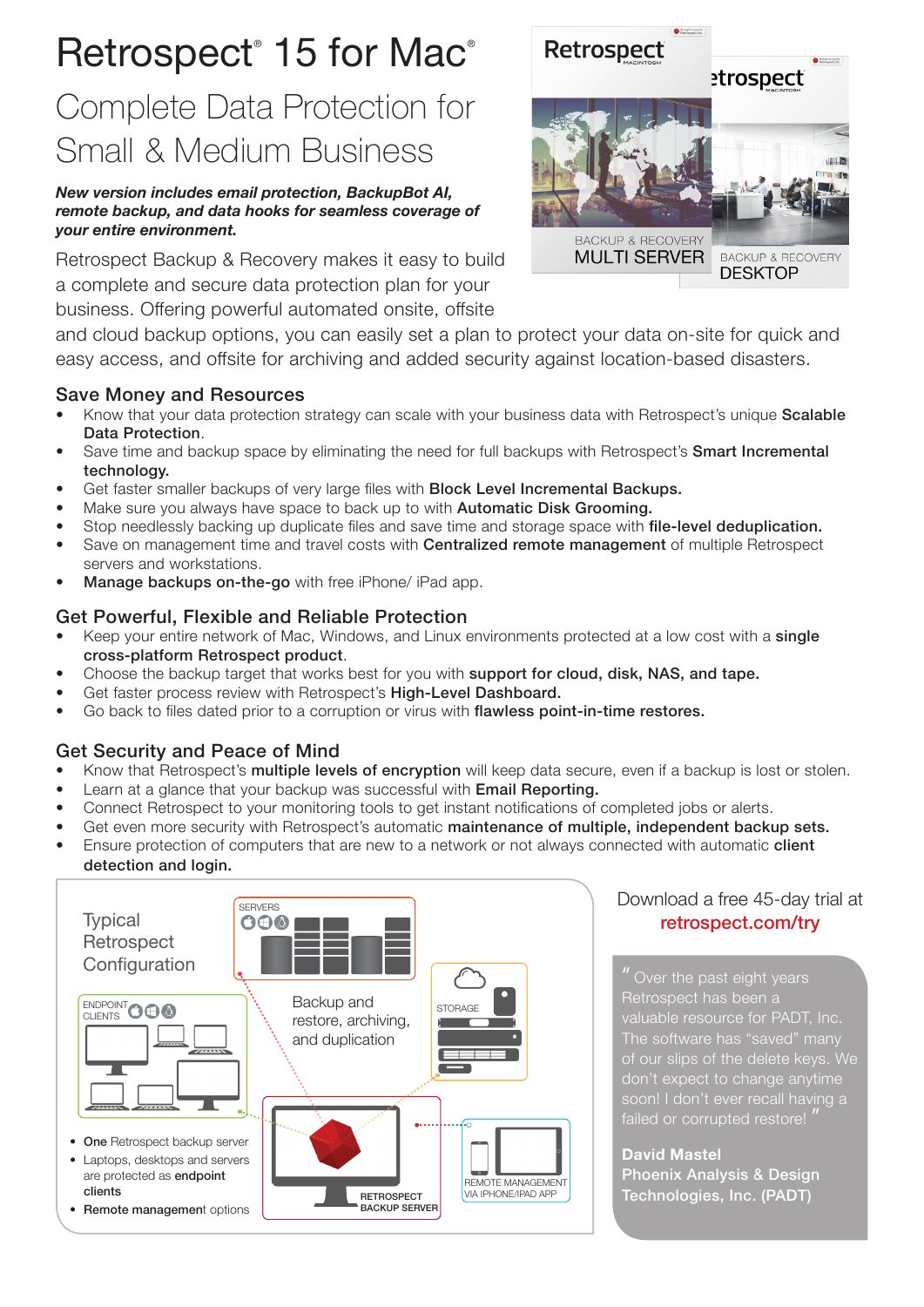# Retrospect<sup>®</sup> 15 for Mac<sup>®</sup>

# Complete Data Protection for Small & Medium Business

### *New version includes email protection, BackupBot AI, remote backup, and data hooks for seamless coverage of your entire environment.*

Retrospect Backup & Recovery makes it easy to build a complete and secure data protection plan for your business. Offering powerful automated onsite, offsite



and cloud backup options, you can easily set a plan to protect your data on-site for quick and easy access, and offsite for archiving and added security against location-based disasters.

# Save Money and Resources

- Know that your data protection strategy can scale with your business data with Retrospect's unique Scalable Data Protection.
- Save time and backup space by eliminating the need for full backups with Retrospect's **Smart Incremental** technology.
- Get faster smaller backups of very large files with **Block Level Incremental Backups.**
- Make sure you always have space to back up to with **Automatic Disk Grooming.**
- Stop needlessly backing up duplicate files and save time and storage space with **file-level deduplication.**
- Save on management time and travel costs with **Centralized remote management** of multiple Retrospect servers and workstations.
- Manage backups on-the-go with free iPhone/ iPad app.

## Get Powerful, Flexible and Reliable Protection

- Keep your entire network of Mac, Windows, and Linux environments protected at a low cost with a single cross-platform Retrospect product.
- Choose the backup target that works best for you with **support for cloud, disk, NAS, and tape.**
- Get faster process review with Retrospect's High-Level Dashboard.
- Go back to files dated prior to a corruption or virus with flawless point-in-time restores.

# Get Security and Peace of Mind

- Know that Retrospect's multiple levels of encryption will keep data secure, even if a backup is lost or stolen.
- Learn at a glance that your backup was successful with Email Reporting.
- Connect Retrospect to your monitoring tools to get instant notifications of completed jobs or alerts.
- Get even more security with Retrospect's automatic maintenance of multiple, independent backup sets.
- Ensure protection of computers that are new to a network or not always connected with automatic **client** detection and login.



# Download a free 45-day trial at retrospect.com/try

" Over the past eight years Retrospect has been a valuable resource for PADT, Inc. of our slips of the delete keys. We don't expect to change anytime failed or corrupted restore!

**David Mastel** Phoenix Analysis & Design Technologies, Inc. (PADT)